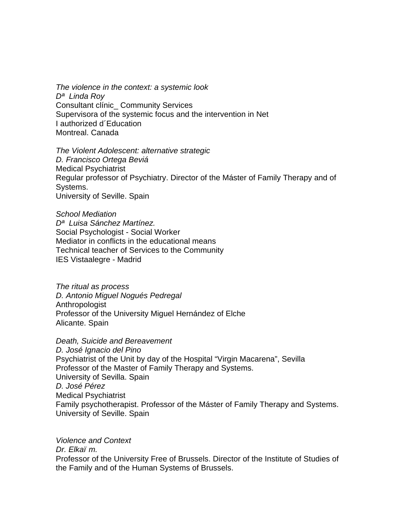*The violence in the context: a systemic look Dª Linda Roy*  Consultant clínic\_ Community Services Supervisora of the systemic focus and the intervention in Net I authorized d´Education Montreal. Canada

*The Violent Adolescent: alternative strategic D. Francisco Ortega Beviá*  Medical Psychiatrist Regular professor of Psychiatry. Director of the Máster of Family Therapy and of Systems. University of Seville. Spain

*School Mediation Dª Luisa Sánchez Martínez.* Social Psychologist - Social Worker Mediator in conflicts in the educational means Technical teacher of Services to the Community IES Vistaalegre - Madrid

*The ritual as process D. Antonio Miguel Nogués Pedregal*  Anthropologist Professor of the University Miguel Hernández of Elche Alicante. Spain

*Death, Suicide and Bereavement D. José Ignacio del Pino*  Psychiatrist of the Unit by day of the Hospital "Virgin Macarena", Sevilla Professor of the Master of Family Therapy and Systems. University of Sevilla. Spain *D. José Pérez*  Medical Psychiatrist Family psychotherapist. Professor of the Máster of Family Therapy and Systems. University of Seville. Spain

*Violence and Context Dr. Elkaïm.*  Professor of the University Free of Brussels. Director of the Institute of Studies of the Family and of the Human Systems of Brussels.